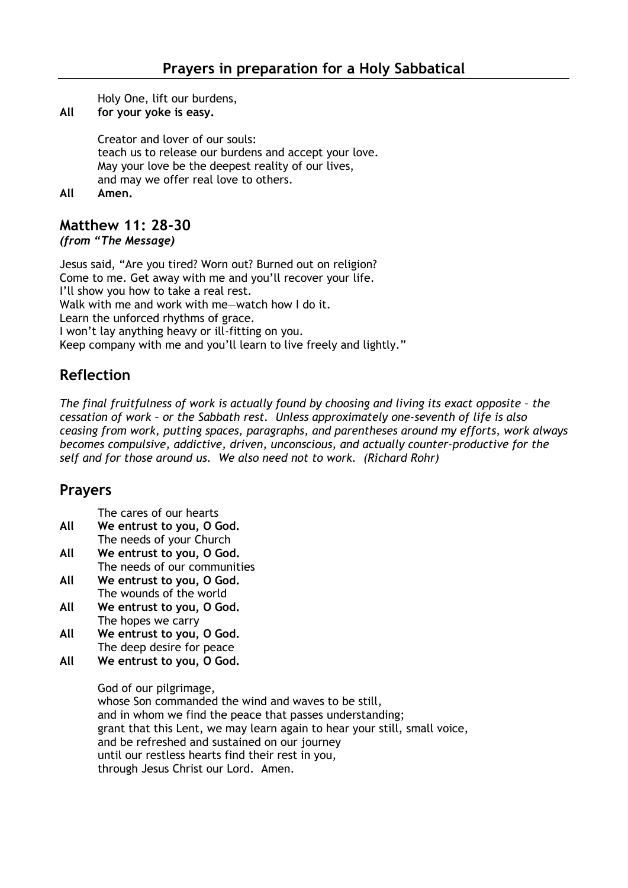Holy One, lift our burdens,

**All for your yoke is easy.**

Creator and lover of our souls: teach us to release our burdens and accept your love. May your love be the deepest reality of our lives, and may we offer real love to others.

**All Amen.** 

## **Matthew 11: 28-30**

*(from "The Message)*

Jesus said, "Are you tired? Worn out? Burned out on religion? Come to me. Get away with me and you'll recover your life. I'll show you how to take a real rest. Walk with me and work with me-watch how I do it. Learn the unforced rhythms of grace. I won't lay anything heavy or ill-fitting on you. Keep company with me and you'll learn to live freely and lightly."

## **Reflection**

*The final fruitfulness of work is actually found by choosing and living its exact opposite - the cessation of work – or the Sabbath rest. Unless approximately one-seventh of life is also ceasing from work, putting spaces, paragraphs, and parentheses around my efforts, work always becomes compulsive, addictive, driven, unconscious, and actually counter-productive for the self and for those around us. We also need not to work. (Richard Rohr)*

## **Prayers**

The cares of our hearts

- **All We entrust to you, O God.** The needs of your Church
- **All We entrust to you, O God.** The needs of our communities
- **All We entrust to you, O God.** The wounds of the world
- **All We entrust to you, O God.** The hopes we carry
- **All We entrust to you, O God.** The deep desire for peace
- **All We entrust to you, O God.**

God of our pilgrimage,

whose Son commanded the wind and waves to be still, and in whom we find the peace that passes understanding; grant that this Lent, we may learn again to hear your still, small voice, and be refreshed and sustained on our journey until our restless hearts find their rest in you, through Jesus Christ our Lord. Amen.